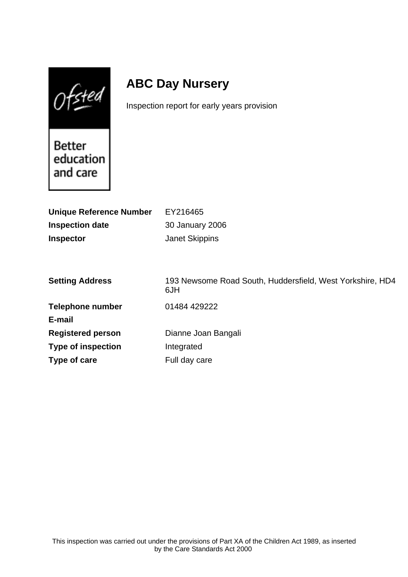$0$ fsted

# **ABC Day Nursery**

Inspection report for early years provision

Better education and care

| <b>Unique Reference Number</b><br><b>Inspection date</b><br><b>Inspector</b> | EY216465<br>30 January 2006<br><b>Janet Skippins</b>             |
|------------------------------------------------------------------------------|------------------------------------------------------------------|
| <b>Setting Address</b>                                                       | 193 Newsome Road South, Huddersfield, West Yorkshire, HD4<br>6JH |
| <b>Telephone number</b>                                                      | 01484 429222                                                     |
| E-mail                                                                       |                                                                  |
| <b>Registered person</b>                                                     | Dianne Joan Bangali                                              |
| <b>Type of inspection</b>                                                    | Integrated                                                       |
| Type of care                                                                 | Full day care                                                    |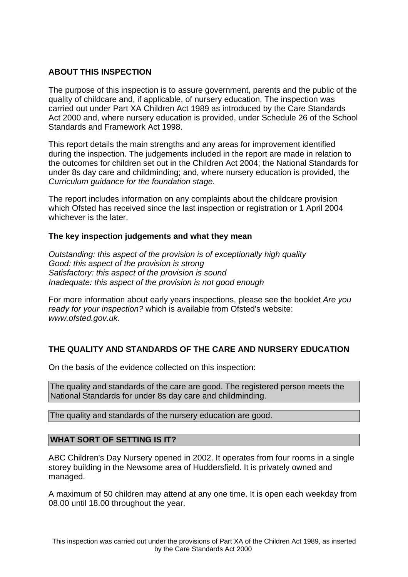## **ABOUT THIS INSPECTION**

The purpose of this inspection is to assure government, parents and the public of the quality of childcare and, if applicable, of nursery education. The inspection was carried out under Part XA Children Act 1989 as introduced by the Care Standards Act 2000 and, where nursery education is provided, under Schedule 26 of the School Standards and Framework Act 1998.

This report details the main strengths and any areas for improvement identified during the inspection. The judgements included in the report are made in relation to the outcomes for children set out in the Children Act 2004; the National Standards for under 8s day care and childminding; and, where nursery education is provided, the Curriculum guidance for the foundation stage.

The report includes information on any complaints about the childcare provision which Ofsted has received since the last inspection or registration or 1 April 2004 whichever is the later.

### **The key inspection judgements and what they mean**

Outstanding: this aspect of the provision is of exceptionally high quality Good: this aspect of the provision is strong Satisfactory: this aspect of the provision is sound Inadequate: this aspect of the provision is not good enough

For more information about early years inspections, please see the booklet Are you ready for your inspection? which is available from Ofsted's website: www.ofsted.gov.uk.

## **THE QUALITY AND STANDARDS OF THE CARE AND NURSERY EDUCATION**

On the basis of the evidence collected on this inspection:

The quality and standards of the care are good. The registered person meets the National Standards for under 8s day care and childminding.

The quality and standards of the nursery education are good.

### **WHAT SORT OF SETTING IS IT?**

ABC Children's Day Nursery opened in 2002. It operates from four rooms in a single storey building in the Newsome area of Huddersfield. It is privately owned and managed.

A maximum of 50 children may attend at any one time. It is open each weekday from 08.00 until 18.00 throughout the year.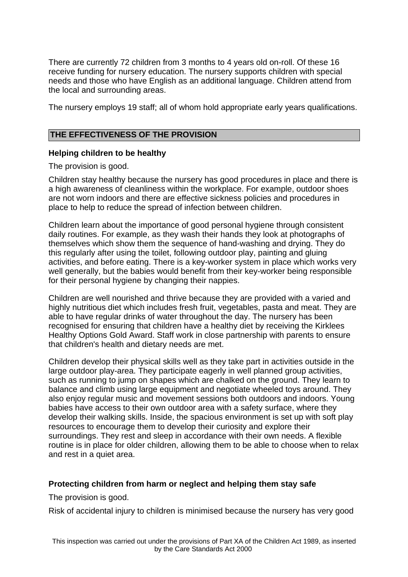There are currently 72 children from 3 months to 4 years old on-roll. Of these 16 receive funding for nursery education. The nursery supports children with special needs and those who have English as an additional language. Children attend from the local and surrounding areas.

The nursery employs 19 staff; all of whom hold appropriate early years qualifications.

### **THE EFFECTIVENESS OF THE PROVISION**

### **Helping children to be healthy**

The provision is good.

Children stay healthy because the nursery has good procedures in place and there is a high awareness of cleanliness within the workplace. For example, outdoor shoes are not worn indoors and there are effective sickness policies and procedures in place to help to reduce the spread of infection between children.

Children learn about the importance of good personal hygiene through consistent daily routines. For example, as they wash their hands they look at photographs of themselves which show them the sequence of hand-washing and drying. They do this regularly after using the toilet, following outdoor play, painting and gluing activities, and before eating. There is a key-worker system in place which works very well generally, but the babies would benefit from their key-worker being responsible for their personal hygiene by changing their nappies.

Children are well nourished and thrive because they are provided with a varied and highly nutritious diet which includes fresh fruit, vegetables, pasta and meat. They are able to have regular drinks of water throughout the day. The nursery has been recognised for ensuring that children have a healthy diet by receiving the Kirklees Healthy Options Gold Award. Staff work in close partnership with parents to ensure that children's health and dietary needs are met.

Children develop their physical skills well as they take part in activities outside in the large outdoor play-area. They participate eagerly in well planned group activities, such as running to jump on shapes which are chalked on the ground. They learn to balance and climb using large equipment and negotiate wheeled toys around. They also enjoy regular music and movement sessions both outdoors and indoors. Young babies have access to their own outdoor area with a safety surface, where they develop their walking skills. Inside, the spacious environment is set up with soft play resources to encourage them to develop their curiosity and explore their surroundings. They rest and sleep in accordance with their own needs. A flexible routine is in place for older children, allowing them to be able to choose when to relax and rest in a quiet area.

### **Protecting children from harm or neglect and helping them stay safe**

The provision is good.

Risk of accidental injury to children is minimised because the nursery has very good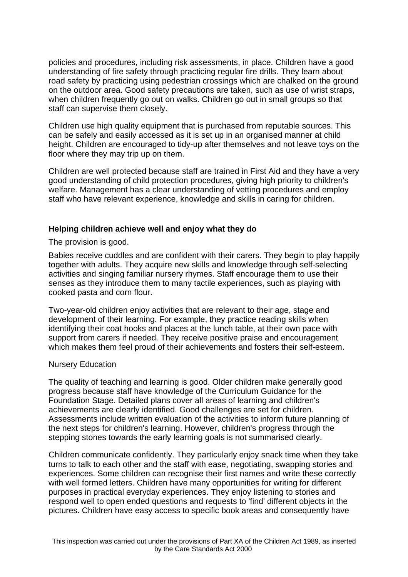policies and procedures, including risk assessments, in place. Children have a good understanding of fire safety through practicing regular fire drills. They learn about road safety by practicing using pedestrian crossings which are chalked on the ground on the outdoor area. Good safety precautions are taken, such as use of wrist straps, when children frequently go out on walks. Children go out in small groups so that staff can supervise them closely.

Children use high quality equipment that is purchased from reputable sources. This can be safely and easily accessed as it is set up in an organised manner at child height. Children are encouraged to tidy-up after themselves and not leave toys on the floor where they may trip up on them.

Children are well protected because staff are trained in First Aid and they have a very good understanding of child protection procedures, giving high priority to children's welfare. Management has a clear understanding of vetting procedures and employ staff who have relevant experience, knowledge and skills in caring for children.

### **Helping children achieve well and enjoy what they do**

The provision is good.

Babies receive cuddles and are confident with their carers. They begin to play happily together with adults. They acquire new skills and knowledge through self-selecting activities and singing familiar nursery rhymes. Staff encourage them to use their senses as they introduce them to many tactile experiences, such as playing with cooked pasta and corn flour.

Two-year-old children enjoy activities that are relevant to their age, stage and development of their learning. For example, they practice reading skills when identifying their coat hooks and places at the lunch table, at their own pace with support from carers if needed. They receive positive praise and encouragement which makes them feel proud of their achievements and fosters their self-esteem.

### Nursery Education

The quality of teaching and learning is good. Older children make generally good progress because staff have knowledge of the Curriculum Guidance for the Foundation Stage. Detailed plans cover all areas of learning and children's achievements are clearly identified. Good challenges are set for children. Assessments include written evaluation of the activities to inform future planning of the next steps for children's learning. However, children's progress through the stepping stones towards the early learning goals is not summarised clearly.

Children communicate confidently. They particularly enjoy snack time when they take turns to talk to each other and the staff with ease, negotiating, swapping stories and experiences. Some children can recognise their first names and write these correctly with well formed letters. Children have many opportunities for writing for different purposes in practical everyday experiences. They enjoy listening to stories and respond well to open ended questions and requests to 'find' different objects in the pictures. Children have easy access to specific book areas and consequently have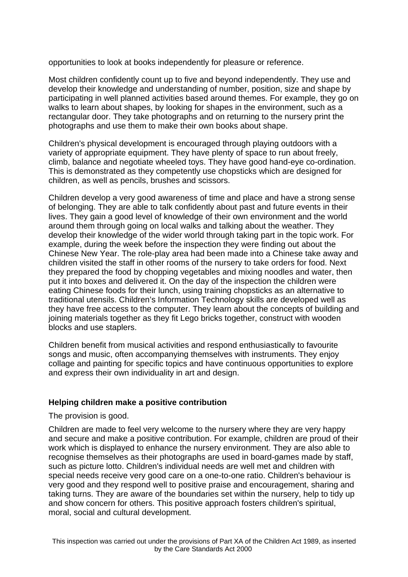opportunities to look at books independently for pleasure or reference.

Most children confidently count up to five and beyond independently. They use and develop their knowledge and understanding of number, position, size and shape by participating in well planned activities based around themes. For example, they go on walks to learn about shapes, by looking for shapes in the environment, such as a rectangular door. They take photographs and on returning to the nursery print the photographs and use them to make their own books about shape.

Children's physical development is encouraged through playing outdoors with a variety of appropriate equipment. They have plenty of space to run about freely, climb, balance and negotiate wheeled toys. They have good hand-eye co-ordination. This is demonstrated as they competently use chopsticks which are designed for children, as well as pencils, brushes and scissors.

Children develop a very good awareness of time and place and have a strong sense of belonging. They are able to talk confidently about past and future events in their lives. They gain a good level of knowledge of their own environment and the world around them through going on local walks and talking about the weather. They develop their knowledge of the wider world through taking part in the topic work. For example, during the week before the inspection they were finding out about the Chinese New Year. The role-play area had been made into a Chinese take away and children visited the staff in other rooms of the nursery to take orders for food. Next they prepared the food by chopping vegetables and mixing noodles and water, then put it into boxes and delivered it. On the day of the inspection the children were eating Chinese foods for their lunch, using training chopsticks as an alternative to traditional utensils. Children's Information Technology skills are developed well as they have free access to the computer. They learn about the concepts of building and joining materials together as they fit Lego bricks together, construct with wooden blocks and use staplers.

Children benefit from musical activities and respond enthusiastically to favourite songs and music, often accompanying themselves with instruments. They enjoy collage and painting for specific topics and have continuous opportunities to explore and express their own individuality in art and design.

### **Helping children make a positive contribution**

The provision is good.

Children are made to feel very welcome to the nursery where they are very happy and secure and make a positive contribution. For example, children are proud of their work which is displayed to enhance the nursery environment. They are also able to recognise themselves as their photographs are used in board-games made by staff, such as picture lotto. Children's individual needs are well met and children with special needs receive very good care on a one-to-one ratio. Children's behaviour is very good and they respond well to positive praise and encouragement, sharing and taking turns. They are aware of the boundaries set within the nursery, help to tidy up and show concern for others. This positive approach fosters children's spiritual, moral, social and cultural development.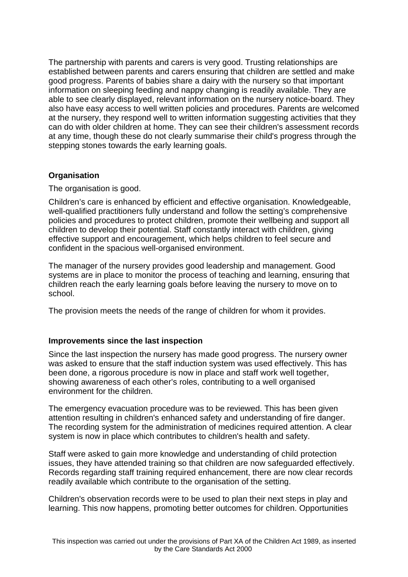The partnership with parents and carers is very good. Trusting relationships are established between parents and carers ensuring that children are settled and make good progress. Parents of babies share a dairy with the nursery so that important information on sleeping feeding and nappy changing is readily available. They are able to see clearly displayed, relevant information on the nursery notice-board. They also have easy access to well written policies and procedures. Parents are welcomed at the nursery, they respond well to written information suggesting activities that they can do with older children at home. They can see their children's assessment records at any time, though these do not clearly summarise their child's progress through the stepping stones towards the early learning goals.

## **Organisation**

The organisation is good.

Children's care is enhanced by efficient and effective organisation. Knowledgeable, well-qualified practitioners fully understand and follow the setting's comprehensive policies and procedures to protect children, promote their wellbeing and support all children to develop their potential. Staff constantly interact with children, giving effective support and encouragement, which helps children to feel secure and confident in the spacious well-organised environment.

The manager of the nursery provides good leadership and management. Good systems are in place to monitor the process of teaching and learning, ensuring that children reach the early learning goals before leaving the nursery to move on to school.

The provision meets the needs of the range of children for whom it provides.

### **Improvements since the last inspection**

Since the last inspection the nursery has made good progress. The nursery owner was asked to ensure that the staff induction system was used effectively. This has been done, a rigorous procedure is now in place and staff work well together, showing awareness of each other's roles, contributing to a well organised environment for the children.

The emergency evacuation procedure was to be reviewed. This has been given attention resulting in children's enhanced safety and understanding of fire danger. The recording system for the administration of medicines required attention. A clear system is now in place which contributes to children's health and safety.

Staff were asked to gain more knowledge and understanding of child protection issues, they have attended training so that children are now safeguarded effectively. Records regarding staff training required enhancement, there are now clear records readily available which contribute to the organisation of the setting.

Children's observation records were to be used to plan their next steps in play and learning. This now happens, promoting better outcomes for children. Opportunities